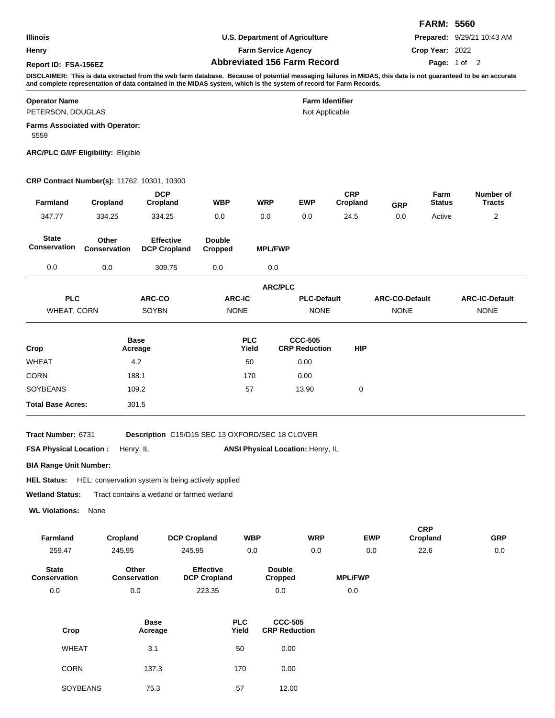|                                                                                                                                                                                                                                                                                      |                                    | <b>FARM: 5560</b> |                                   |  |  |  |  |  |
|--------------------------------------------------------------------------------------------------------------------------------------------------------------------------------------------------------------------------------------------------------------------------------------|------------------------------------|-------------------|-----------------------------------|--|--|--|--|--|
| <b>Illinois</b>                                                                                                                                                                                                                                                                      | U.S. Department of Agriculture     |                   | <b>Prepared: 9/29/21 10:43 AM</b> |  |  |  |  |  |
| Henry                                                                                                                                                                                                                                                                                | <b>Farm Service Agency</b>         | Crop Year: 2022   |                                   |  |  |  |  |  |
| Report ID: FSA-156EZ                                                                                                                                                                                                                                                                 | <b>Abbreviated 156 Farm Record</b> |                   | Page: 1 of 2                      |  |  |  |  |  |
| DISCLAIMER: This is data extracted from the web farm database. Because of potential messaging failures in MIDAS, this data is not guaranteed to be an accurate<br>and complete representation of data contained in the MIDAS system, which is the system of record for Farm Records. |                                    |                   |                                   |  |  |  |  |  |

#### **Operator Name Farm Identifier**

PETERSON, DOUGLAS

Not Applicable

**Farms Associated with Operator:**

5559

**ARC/PLC G/I/F Eligibility:** Eligible

## **CRP Contract Number(s):** 11762, 10301, 10300

| Farmland                            | Cropland              | <b>DCP</b><br>Cropland                  | <b>WBP</b>               | <b>WRP</b>          | <b>EWP</b>                             | <b>CRP</b><br>Cropland | <b>GRP</b>            | Farm<br><b>Status</b> | Number of<br><b>Tracts</b> |
|-------------------------------------|-----------------------|-----------------------------------------|--------------------------|---------------------|----------------------------------------|------------------------|-----------------------|-----------------------|----------------------------|
| 347.77                              | 334.25                | 334.25                                  | 0.0                      | 0.0                 | 0.0                                    | 24.5                   | 0.0                   | Active                | 2                          |
| <b>State</b><br><b>Conservation</b> | Other<br>Conservation | <b>Effective</b><br><b>DCP Cropland</b> | <b>Double</b><br>Cropped | <b>MPL/FWP</b>      |                                        |                        |                       |                       |                            |
| 0.0                                 | 0.0                   | 309.75                                  | 0.0                      | 0.0                 |                                        |                        |                       |                       |                            |
|                                     |                       |                                         |                          | <b>ARC/PLC</b>      |                                        |                        |                       |                       |                            |
| <b>PLC</b>                          |                       | ARC-CO                                  | <b>ARC-IC</b>            |                     | <b>PLC-Default</b>                     |                        | <b>ARC-CO-Default</b> |                       | <b>ARC-IC-Default</b>      |
| <b>WHEAT, CORN</b>                  |                       | SOYBN                                   | <b>NONE</b>              |                     | <b>NONE</b>                            |                        | <b>NONE</b>           |                       | <b>NONE</b>                |
| Crop                                |                       | <b>Base</b><br>Acreage                  |                          | <b>PLC</b><br>Yield | <b>CCC-505</b><br><b>CRP Reduction</b> | <b>HIP</b>             |                       |                       |                            |
| <b>WHEAT</b>                        |                       | 4.2                                     |                          | 50                  | 0.00                                   |                        |                       |                       |                            |
| <b>CORN</b>                         |                       | 188.1                                   |                          | 170                 | 0.00                                   |                        |                       |                       |                            |
| <b>SOYBEANS</b>                     |                       | 109.2                                   |                          | 57                  | 13.90                                  | 0                      |                       |                       |                            |
| <b>Total Base Acres:</b>            |                       | 301.5                                   |                          |                     |                                        |                        |                       |                       |                            |
|                                     |                       |                                         |                          |                     |                                        |                        |                       |                       |                            |

**Tract Number:**

Description C15/D15 SEC 13 OXFORD/SEC 18 CLOVER

**FSA Physical Location :** Henry, IL

ANSI Physical Location: Henry, IL

**BIA Range Unit Number:**

**HEL Status:** HEL: conservation system is being actively applied

**Wetland Status:** Tract contains a wetland or farmed wetland

**WL Violations:** None

| <b>Farmland</b>                     | Cropland                     | <b>DCP Cropland</b>                     | <b>WBP</b>               | <b>WRP</b> | <b>EWP</b>     | <b>CRP</b><br>Cropland | <b>GRP</b> |
|-------------------------------------|------------------------------|-----------------------------------------|--------------------------|------------|----------------|------------------------|------------|
| 259.47                              | 245.95                       | 245.95                                  | 0.0                      | 0.0        | 0.0            | 22.6                   | 0.0        |
| <b>State</b><br><b>Conservation</b> | Other<br><b>Conservation</b> | <b>Effective</b><br><b>DCP Cropland</b> | <b>Double</b><br>Cropped |            | <b>MPL/FWP</b> |                        |            |
| 0.0                                 | 0.0                          | 223.35                                  | 0.0                      |            | 0.0            |                        |            |

| Crop            | <b>Base</b><br>Acreage | <b>PLC</b><br>Yield | <b>CCC-505</b><br><b>CRP Reduction</b> |
|-----------------|------------------------|---------------------|----------------------------------------|
| <b>WHEAT</b>    | 3.1                    | 50                  | 0.00                                   |
| <b>CORN</b>     | 137.3                  | 170                 | 0.00                                   |
| <b>SOYBEANS</b> | 75.3                   | 57                  | 12.00                                  |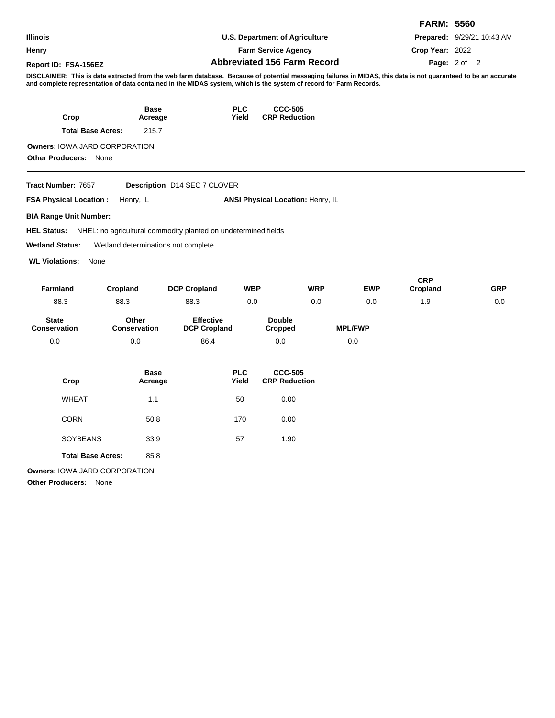| Illinois                                                                                                                                                                                                                                                                             |                                                                | <b>U.S. Department of Agriculture</b><br><b>Farm Service Agency</b> |                     |                                          |            |                |                        | Prepared: 9/29/21 10:43 AM |
|--------------------------------------------------------------------------------------------------------------------------------------------------------------------------------------------------------------------------------------------------------------------------------------|----------------------------------------------------------------|---------------------------------------------------------------------|---------------------|------------------------------------------|------------|----------------|------------------------|----------------------------|
| Henry                                                                                                                                                                                                                                                                                |                                                                |                                                                     |                     |                                          |            |                |                        | Crop Year: 2022            |
| Report ID: FSA-156EZ                                                                                                                                                                                                                                                                 | <b>Abbreviated 156 Farm Record</b>                             |                                                                     |                     |                                          |            |                |                        | Page: 2 of 2               |
| DISCLAIMER: This is data extracted from the web farm database. Because of potential messaging failures in MIDAS, this data is not guaranteed to be an accurate<br>and complete representation of data contained in the MIDAS system, which is the system of record for Farm Records. |                                                                |                                                                     |                     |                                          |            |                |                        |                            |
|                                                                                                                                                                                                                                                                                      | Base                                                           |                                                                     | <b>PLC</b>          | <b>CCC-505</b>                           |            |                |                        |                            |
| Crop                                                                                                                                                                                                                                                                                 | Acreage                                                        |                                                                     | Yield               | <b>CRP Reduction</b>                     |            |                |                        |                            |
| <b>Total Base Acres:</b>                                                                                                                                                                                                                                                             | 215.7                                                          |                                                                     |                     |                                          |            |                |                        |                            |
| <b>Owners: IOWA JARD CORPORATION</b>                                                                                                                                                                                                                                                 |                                                                |                                                                     |                     |                                          |            |                |                        |                            |
| <b>Other Producers: None</b>                                                                                                                                                                                                                                                         |                                                                |                                                                     |                     |                                          |            |                |                        |                            |
| Tract Number: 7657                                                                                                                                                                                                                                                                   |                                                                | Description D14 SEC 7 CLOVER                                        |                     |                                          |            |                |                        |                            |
| <b>FSA Physical Location:</b>                                                                                                                                                                                                                                                        | Henry, IL                                                      |                                                                     |                     | <b>ANSI Physical Location: Henry, IL</b> |            |                |                        |                            |
| BIA Range Unit Number:                                                                                                                                                                                                                                                               |                                                                |                                                                     |                     |                                          |            |                |                        |                            |
| <b>HEL Status:</b>                                                                                                                                                                                                                                                                   | NHEL: no agricultural commodity planted on undetermined fields |                                                                     |                     |                                          |            |                |                        |                            |
| <b>Wetland Status:</b>                                                                                                                                                                                                                                                               | Wetland determinations not complete                            |                                                                     |                     |                                          |            |                |                        |                            |
| <b>WL Violations:</b><br>None                                                                                                                                                                                                                                                        |                                                                |                                                                     |                     |                                          |            |                |                        |                            |
| <b>Farmland</b>                                                                                                                                                                                                                                                                      | Cropland                                                       | <b>DCP Cropland</b>                                                 | <b>WBP</b>          |                                          | <b>WRP</b> | <b>EWP</b>     | <b>CRP</b><br>Cropland | <b>GRP</b>                 |
| 88.3                                                                                                                                                                                                                                                                                 | 88.3                                                           | 88.3                                                                | 0.0                 |                                          | 0.0        | 0.0            | 1.9                    | 0.0                        |
| <b>State</b><br><b>Conservation</b>                                                                                                                                                                                                                                                  | Other<br><b>Conservation</b>                                   | <b>Effective</b><br><b>DCP Cropland</b>                             |                     | <b>Double</b><br><b>Cropped</b>          |            | <b>MPL/FWP</b> |                        |                            |
| 0.0                                                                                                                                                                                                                                                                                  | 0.0                                                            | 86.4                                                                |                     | 0.0                                      |            | 0.0            |                        |                            |
| Crop                                                                                                                                                                                                                                                                                 | <b>Base</b><br>Acreage                                         |                                                                     | <b>PLC</b><br>Yield | <b>CCC-505</b><br><b>CRP Reduction</b>   |            |                |                        |                            |
| <b>WHEAT</b>                                                                                                                                                                                                                                                                         | 1.1                                                            |                                                                     | 50                  | 0.00                                     |            |                |                        |                            |
| <b>CORN</b>                                                                                                                                                                                                                                                                          | 50.8                                                           |                                                                     | 170                 | 0.00                                     |            |                |                        |                            |
| <b>SOYBEANS</b>                                                                                                                                                                                                                                                                      | 33.9                                                           |                                                                     | 57                  | 1.90                                     |            |                |                        |                            |
| <b>Total Base Acres:</b>                                                                                                                                                                                                                                                             | 85.8                                                           |                                                                     |                     |                                          |            |                |                        |                            |
| <b>Owners: IOWA JARD CORPORATION</b><br><b>Other Producers: None</b>                                                                                                                                                                                                                 |                                                                |                                                                     |                     |                                          |            |                |                        |                            |

**FARM: 5560**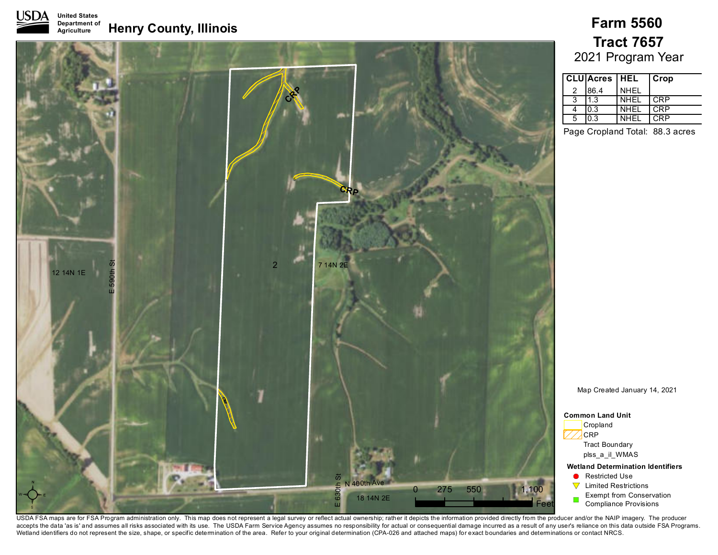

#### **Henry County, Illinois Farm 5560 United States Department of Agriculture**



# 2021 Program Year **Tract 7657**

| <b>CLU</b> Acres   HEL |       |             | Crop |
|------------------------|-------|-------------|------|
|                        | 186.4 | <b>NHEL</b> |      |
| 3                      | 1.3   | NHEL        | CRP  |
|                        | 0.3   | <b>NHEL</b> | CRP  |
| 5                      | 0.3   | <b>NHEL</b> | C.RP |

Page Cropland Total: 88.3 acres

Map Created January 14, 2021

**Wetland Determination Identifiers Restricted Use**  $\nabla$  Limited Restrictions Exempt from Conservation Compliance Provisions **Common Land Unit** Cropland **CRP** Tract Boundary plss\_a\_il\_WMAS

USDA FSA maps are for FSA Program administration only. This map does not represent a legal survey or reflect actual ownership; rather it depicts the information provided directly from the producer and/or the NAIP imagery. accepts the data 'as is' and assumes all risks associated with its use. The USDA Farm Service Agency assumes no responsibility for actual or consequential damage incurred as a result of any user's reliance on this data out Wetland identifiers do not represent the size, shape, or specific determination of the area. Refer to your original determination (CPA-026 and attached maps) for exact boundaries and determinations or contact NRCS.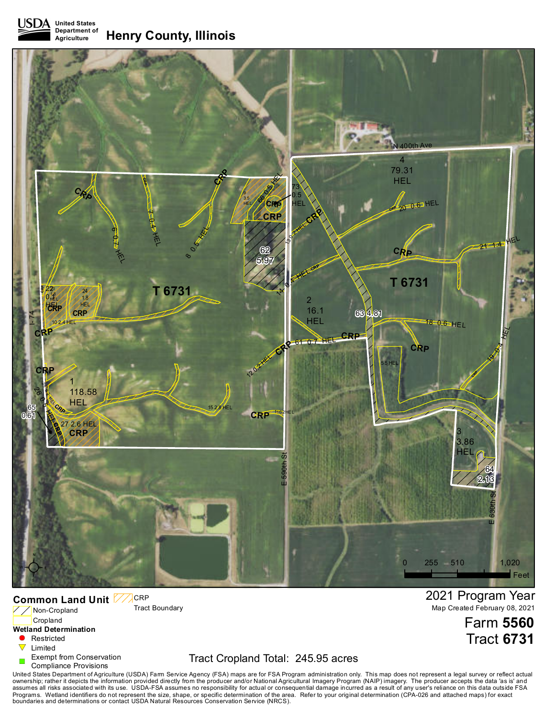**United States Department of Agriculture Henry County, Illinois**



#### **Common Land Unit CRP**

Tract Boundary

Non-Cropland Cropland

#### **Wetland Determination**

- $\blacksquare$ Restricted
- $\triangledown$ Limited
- Exempt from Conservation
- Compliance Provisions

# Tract Cropland Total: 245.95 acres

United States Department of Agriculture (USDA) Farm Service Agency (FSA) maps are for FSA Program administration only. This map does not represent a legal survey or reflect actual<br>awnership; rather it depicts the informati

2021 Program Year Map Created February 08, 2021

> Farm **5560** Tract **6731**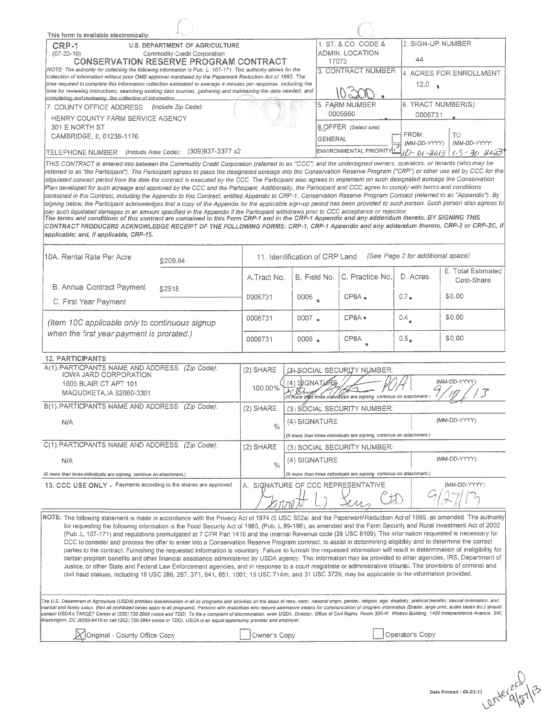| This form is available electronically.<br><b>U.S. DEPARTMENT OF AGRICULTURE</b><br>CRP-1<br>$(07 - 23 - 10)$<br>Commodity Credit Corporation<br>CONSERVATION RESERVE PROGRAM CONTRACT<br>NOTE: The authority for collecting the following information is Pub. L 107-171. This authority allows for the<br>collection of information without prior OMB approval mandated by the Paperwork Reduction Act of 1995. The<br>time required to complete this information collection estimated to average 4 minutes per response, including the                                                                                                                                                                                                                                                                                                                                                                                                                                                                                                                                                                                                                                                                                                                                                                                                                                                                                                                                                                                                                                                                                                                                                                                                                                                                                                                                                                                                                                                                                                                                                                                                         |                      |                                                                                                     | 17073          | 1. ST. & CO. CODE &<br><b>ADMIN. LOCATION</b><br>3. CONTRACT NUMBER   | 44<br>12.0                 | 2. SIGN-UP NUMBER<br>4. ACRES FOR ENROLLMENT |
|-------------------------------------------------------------------------------------------------------------------------------------------------------------------------------------------------------------------------------------------------------------------------------------------------------------------------------------------------------------------------------------------------------------------------------------------------------------------------------------------------------------------------------------------------------------------------------------------------------------------------------------------------------------------------------------------------------------------------------------------------------------------------------------------------------------------------------------------------------------------------------------------------------------------------------------------------------------------------------------------------------------------------------------------------------------------------------------------------------------------------------------------------------------------------------------------------------------------------------------------------------------------------------------------------------------------------------------------------------------------------------------------------------------------------------------------------------------------------------------------------------------------------------------------------------------------------------------------------------------------------------------------------------------------------------------------------------------------------------------------------------------------------------------------------------------------------------------------------------------------------------------------------------------------------------------------------------------------------------------------------------------------------------------------------------------------------------------------------------------------------------------------------|----------------------|-----------------------------------------------------------------------------------------------------|----------------|-----------------------------------------------------------------------|----------------------------|----------------------------------------------|
| time for reviewing instructions, searching existing data sources, gathering and maintaining the data needed, and<br>completing and reviewing, the collection of information.                                                                                                                                                                                                                                                                                                                                                                                                                                                                                                                                                                                                                                                                                                                                                                                                                                                                                                                                                                                                                                                                                                                                                                                                                                                                                                                                                                                                                                                                                                                                                                                                                                                                                                                                                                                                                                                                                                                                                                    |                      |                                                                                                     |                |                                                                       |                            | $\mathbf{u}$                                 |
| 7. COUNTY OFFICE ADDRESS (Include Zip Code):<br>HENRY COUNTY FARM SERVICE AGENCY                                                                                                                                                                                                                                                                                                                                                                                                                                                                                                                                                                                                                                                                                                                                                                                                                                                                                                                                                                                                                                                                                                                                                                                                                                                                                                                                                                                                                                                                                                                                                                                                                                                                                                                                                                                                                                                                                                                                                                                                                                                                |                      |                                                                                                     |                | 5. FARM NUMBER<br>0005560                                             |                            | 6. TRACT NUMBER(S)<br>0006731                |
| 301 E NORTH ST<br>CAMBRIDGE, IL 61238-1176                                                                                                                                                                                                                                                                                                                                                                                                                                                                                                                                                                                                                                                                                                                                                                                                                                                                                                                                                                                                                                                                                                                                                                                                                                                                                                                                                                                                                                                                                                                                                                                                                                                                                                                                                                                                                                                                                                                                                                                                                                                                                                      |                      |                                                                                                     | <b>GENERAL</b> | 8.OFFER (Select one)                                                  | FROM:                      | TO.                                          |
| (309)937-3377 x2<br>(Include Area Code):<br>TELEPHONE NUMBER                                                                                                                                                                                                                                                                                                                                                                                                                                                                                                                                                                                                                                                                                                                                                                                                                                                                                                                                                                                                                                                                                                                                                                                                                                                                                                                                                                                                                                                                                                                                                                                                                                                                                                                                                                                                                                                                                                                                                                                                                                                                                    |                      |                                                                                                     |                | ENVIRONMENTAL PRIORITYL                                               | (MM-DD-YYYY)<br>10-01-2013 | (MM-DD-YYYY)<br>$09 - 30 - 2023$             |
| THIS CONTRACT is entered into between the Commodity Credit Corporation (referred to as "CCC") and the undersigned owners, operators, or tenants (who may be<br>referred to as "the Participant"). The Participant agrees to place the designated acreage into the Conservation Reserve Program ("CRP") or other use set by CCC for the<br>stipulated contract period from the date the contract is executed by the CCC. The Participant also agrees to implement on such designated acreage the Conservation<br>Plan developed for such acreage and approved by the CCC and the Participant. Additionally, the Participant and CCC agree to comply with terms and conditions<br>contained in this Contract, including the Appendix to this Contract, entitled Appendix to CRP-1, Conservation Reserve Program Contract (referred to as "Appendix"). By<br>signing below, the Participant acknowledges that a copy of the Appendix for the applicable sign-up period has been provided to such person. Such person also agrees to<br>pay such liquidated damages in an amount specified in the Appendix if the Participant withdraws prior to CCC acceptance or rejection.<br>The terms and conditions of this contract are contained in this Form CRP-1 and in the CRP-1 Appendix and any addendum thereto. BY SIGNING THIS<br>CONTRACT PRODUCERS ACKNOWLEDGE RECEIPT OF THE FOLLOWING FORMS: CRP-1, CRP-1 Appendix and any addendum thereto, CRP-2 or CRP-2C, if<br>applicable; and, if applicable, CRP-15.                                                                                                                                                                                                                                                                                                                                                                                                                                                                                                                                                                                                                                    |                      |                                                                                                     |                |                                                                       |                            |                                              |
| 10A. Rental Rate Per Acre<br>\$209.84                                                                                                                                                                                                                                                                                                                                                                                                                                                                                                                                                                                                                                                                                                                                                                                                                                                                                                                                                                                                                                                                                                                                                                                                                                                                                                                                                                                                                                                                                                                                                                                                                                                                                                                                                                                                                                                                                                                                                                                                                                                                                                           |                      | 11. Identification of CRP Land                                                                      |                |                                                                       |                            | (See Page 2 for additional space)            |
| B. Annual Contract Payment                                                                                                                                                                                                                                                                                                                                                                                                                                                                                                                                                                                                                                                                                                                                                                                                                                                                                                                                                                                                                                                                                                                                                                                                                                                                                                                                                                                                                                                                                                                                                                                                                                                                                                                                                                                                                                                                                                                                                                                                                                                                                                                      | A.Tract No.          | B. Field No.                                                                                        |                | C. Practice No.                                                       | D. Acres                   | E. Total Estimated<br>Cost-Share             |
| \$2518<br>C. First Year Payment                                                                                                                                                                                                                                                                                                                                                                                                                                                                                                                                                                                                                                                                                                                                                                                                                                                                                                                                                                                                                                                                                                                                                                                                                                                                                                                                                                                                                                                                                                                                                                                                                                                                                                                                                                                                                                                                                                                                                                                                                                                                                                                 | 0006731              | 0006                                                                                                |                | CP8A.                                                                 | $0.7$ .                    | \$0.00                                       |
| (Item 10C applicable only to continuous signup                                                                                                                                                                                                                                                                                                                                                                                                                                                                                                                                                                                                                                                                                                                                                                                                                                                                                                                                                                                                                                                                                                                                                                                                                                                                                                                                                                                                                                                                                                                                                                                                                                                                                                                                                                                                                                                                                                                                                                                                                                                                                                  | 0006731              | 0007.                                                                                               |                | CP8A .                                                                | 0.4                        | \$0.00                                       |
| when the first year payment is prorated.)                                                                                                                                                                                                                                                                                                                                                                                                                                                                                                                                                                                                                                                                                                                                                                                                                                                                                                                                                                                                                                                                                                                                                                                                                                                                                                                                                                                                                                                                                                                                                                                                                                                                                                                                                                                                                                                                                                                                                                                                                                                                                                       | 0006731              | $0008$ .                                                                                            |                | CP8A                                                                  | 0.5 <sub>•</sub>           | \$0.00                                       |
| <b>12. PARTICIPANTS</b>                                                                                                                                                                                                                                                                                                                                                                                                                                                                                                                                                                                                                                                                                                                                                                                                                                                                                                                                                                                                                                                                                                                                                                                                                                                                                                                                                                                                                                                                                                                                                                                                                                                                                                                                                                                                                                                                                                                                                                                                                                                                                                                         |                      |                                                                                                     |                |                                                                       |                            |                                              |
| A(1). PARTICPANTS NAME AND ADDRESS<br>(Zip Code):<br>IOWA JARD CORPORATION<br>1605 BLAIR CT APT 101<br>MAQUOKETA, IA 52060-3301                                                                                                                                                                                                                                                                                                                                                                                                                                                                                                                                                                                                                                                                                                                                                                                                                                                                                                                                                                                                                                                                                                                                                                                                                                                                                                                                                                                                                                                                                                                                                                                                                                                                                                                                                                                                                                                                                                                                                                                                                 | (2) SHARE<br>100.00% | $(4)$ SIGNATJARE                                                                                    |                | (3) SOCIAL SECURITY NUMBER:                                           |                            | (MM-DD-YYYY                                  |
| B(1). PARTICPANTS NAME AND ADDRESS<br>(Zip Code):                                                                                                                                                                                                                                                                                                                                                                                                                                                                                                                                                                                                                                                                                                                                                                                                                                                                                                                                                                                                                                                                                                                                                                                                                                                                                                                                                                                                                                                                                                                                                                                                                                                                                                                                                                                                                                                                                                                                                                                                                                                                                               | (2) SHARE            | (If more then three individuals are signing continue on attachment.)<br>(3) SOCIAL SECURITY NUMBER: |                |                                                                       |                            |                                              |
| N/A                                                                                                                                                                                                                                                                                                                                                                                                                                                                                                                                                                                                                                                                                                                                                                                                                                                                                                                                                                                                                                                                                                                                                                                                                                                                                                                                                                                                                                                                                                                                                                                                                                                                                                                                                                                                                                                                                                                                                                                                                                                                                                                                             | $\frac{1}{2}$        | (MM-DD-YYYY)<br>(4) SIGNATURE                                                                       |                |                                                                       |                            |                                              |
| C(1).PARTICPANTS NAME AND ADDRESS (Zip Code):                                                                                                                                                                                                                                                                                                                                                                                                                                                                                                                                                                                                                                                                                                                                                                                                                                                                                                                                                                                                                                                                                                                                                                                                                                                                                                                                                                                                                                                                                                                                                                                                                                                                                                                                                                                                                                                                                                                                                                                                                                                                                                   |                      |                                                                                                     |                | (If more than three individuals are signing, continue on attachment.) |                            |                                              |
|                                                                                                                                                                                                                                                                                                                                                                                                                                                                                                                                                                                                                                                                                                                                                                                                                                                                                                                                                                                                                                                                                                                                                                                                                                                                                                                                                                                                                                                                                                                                                                                                                                                                                                                                                                                                                                                                                                                                                                                                                                                                                                                                                 | (2) SHARE            | (3) SOCIAL SECURITY NUMBER:<br>(4) SIGNATURE                                                        |                |                                                                       |                            | (MM-DD-YYYY)                                 |
| N/A                                                                                                                                                                                                                                                                                                                                                                                                                                                                                                                                                                                                                                                                                                                                                                                                                                                                                                                                                                                                                                                                                                                                                                                                                                                                                                                                                                                                                                                                                                                                                                                                                                                                                                                                                                                                                                                                                                                                                                                                                                                                                                                                             | $\frac{0}{10}$       |                                                                                                     |                | (If more than three individuals are signing continue on attachment.)  |                            |                                              |
| (If more than three individuals are signing continue on attachment.)<br>13. CCC USE ONLY - Payments according to the shares are approved                                                                                                                                                                                                                                                                                                                                                                                                                                                                                                                                                                                                                                                                                                                                                                                                                                                                                                                                                                                                                                                                                                                                                                                                                                                                                                                                                                                                                                                                                                                                                                                                                                                                                                                                                                                                                                                                                                                                                                                                        |                      |                                                                                                     |                | A. SIGNATURE OF CCC REPRESENTATIVE                                    |                            | (MM-DD-YYYY)                                 |
| NOTE: The following statement is made in accordance with the Privacy Act of 1974 (5 USC 552a) and the Paperwork Reduction Act of 1995, as amended. The authority<br>for requesting the following information is the Food Security Act of 1985, (Pub. L.99-198), as amended and the Farm Security and Rural investment Act of 2002<br>(Pub.L. 107-171) and regulations promulgated at 7 CFR Part 1410 and the Internal Revenue code (26 USC 6109). The information requested is necessary for<br>CCC to consider and process the offer to enter into a Conservation Reserve Program contract, to assist in determining eligibility and to determine the correct<br>parties to the contract. Furnishing the requested information is voluntary. Failure to furnish the requested information will result in determination of ineligibility for<br>certain program benefits and other financial assistance administered by USDA agency. This information may be provided to other agencies, IRS, Department of<br>Justice, or other State and Federal Law Enforcement agencies, and in response to a court magistrate or administrative tribunal. The provisions of criminal and<br>civil fraud statues, including 18 USC 286, 287, 371, 641, 651, 1001; 15 USC 714m; and 31 USC 3729, may be applicable to the information provided.<br>The U.S. Department of Agnoulture (USDA) prohibits discrimination in all its programs and activities on the basis of race, color, national ongin, gender, religion, age, disability, political benefits, sexual orientation, a<br>manital and family status. (Not all prohibited bases apply to all programs). Persons with disabilities who require alternative means for communication of program information (Braille, large print, audio tapes etc.) should<br>contact USDA's TARGET Center at (202) 720-2600 (voice and TDD) To file a complaint of discnmination, write USDA, Director, Office of Civil Rights. Room 326-W, Whitten Building, 1400 Independence Avenue. SW,<br>Washington, DC 20250-9410 or call (202) 720-5964 (voice or TDD). USDA is an equal opportunity provider and employer. |                      |                                                                                                     |                |                                                                       |                            |                                              |
| <b>X</b> Original - County Office Copy                                                                                                                                                                                                                                                                                                                                                                                                                                                                                                                                                                                                                                                                                                                                                                                                                                                                                                                                                                                                                                                                                                                                                                                                                                                                                                                                                                                                                                                                                                                                                                                                                                                                                                                                                                                                                                                                                                                                                                                                                                                                                                          | Owner's Copy         |                                                                                                     |                |                                                                       | Operator's Copy            |                                              |
|                                                                                                                                                                                                                                                                                                                                                                                                                                                                                                                                                                                                                                                                                                                                                                                                                                                                                                                                                                                                                                                                                                                                                                                                                                                                                                                                                                                                                                                                                                                                                                                                                                                                                                                                                                                                                                                                                                                                                                                                                                                                                                                                                 |                      |                                                                                                     |                |                                                                       |                            |                                              |

Date Printed: 09-03-13  $\beta$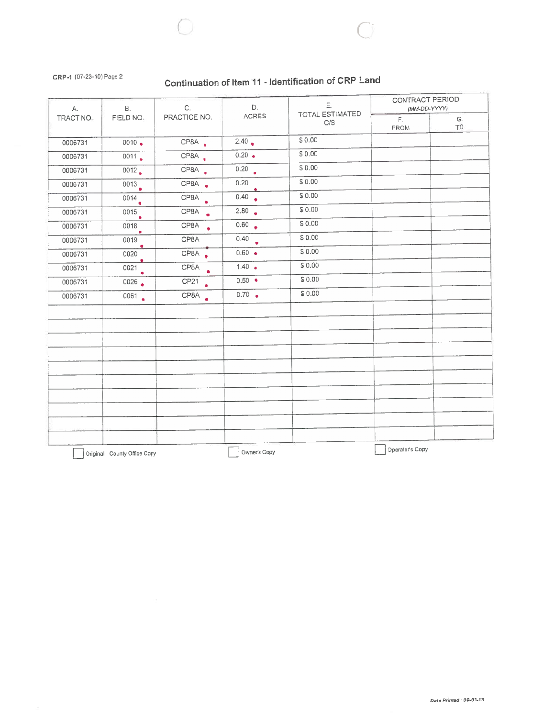### CRP-1 (07-23-10) Page 2

# Continuation of Item 11 - Identification of CRP Land

| В.<br>A.  |                               | C.                            | D.                | Ε.<br><b>TOTAL ESTIMATED</b> | <b>CONTRACT PERIOD</b><br>(MM-DD-YYYY) |           |  |
|-----------|-------------------------------|-------------------------------|-------------------|------------------------------|----------------------------------------|-----------|--|
| TRACT NO. | FIELD NO.                     | PRACTICE NO.                  | <b>ACRES</b>      | C/S                          | $\mathsf{F}.$<br><b>FROM</b>           | G.<br>TO. |  |
| 0006731   | $0010 -$                      | CP8A.                         | 2.40              | \$0.00                       |                                        |           |  |
| 0006731   | 0011                          | CP8A.                         | $0.20 \bullet$    | \$0.00                       |                                        |           |  |
| 0006731   | 0012                          | CP8A .                        | $\overline{0.20}$ | \$0.00                       |                                        |           |  |
| 0006731   | 0013                          | CP8A .                        | 0.20              | \$0.00                       |                                        |           |  |
| 0006731   | 0014                          | CPBA                          | 0.40              | \$0.00                       |                                        |           |  |
| 0006731   | 0015<br>$\bullet$             | CP8A .                        | 2.80              | \$0.00                       |                                        |           |  |
| 0006731   | 0018<br>٠                     | CP8A .                        | 0.60              | \$0.00                       |                                        |           |  |
| 0006731   | 0019                          | CP8A                          | 0.40              | \$0.00                       |                                        |           |  |
| 0006731   | $\bullet$<br>0020             | CP8A .                        | $0.60 -$          | \$0.00                       |                                        |           |  |
| 0006731   | э.<br>$\overline{0021}$       | CPBA                          | $1.40 -$          | \$0.00                       |                                        |           |  |
| 0006731   | 0026                          | CP <sub>21</sub><br>$\bullet$ | $0.50 -$          | \$0.00                       |                                        |           |  |
| 0006731   | 0061                          | CP8A .                        | $0.70$ $\bullet$  | \$0.00                       |                                        |           |  |
|           |                               |                               |                   |                              |                                        |           |  |
|           |                               |                               |                   |                              |                                        |           |  |
|           |                               |                               |                   |                              |                                        |           |  |
|           |                               |                               |                   |                              |                                        |           |  |
|           |                               |                               |                   |                              |                                        |           |  |
|           |                               |                               |                   |                              |                                        |           |  |
|           |                               |                               |                   |                              |                                        |           |  |
|           |                               |                               |                   |                              |                                        |           |  |
|           |                               |                               |                   |                              |                                        |           |  |
|           | Original - County Office Copy |                               | Owner's Copy      |                              | Operator's Copy                        |           |  |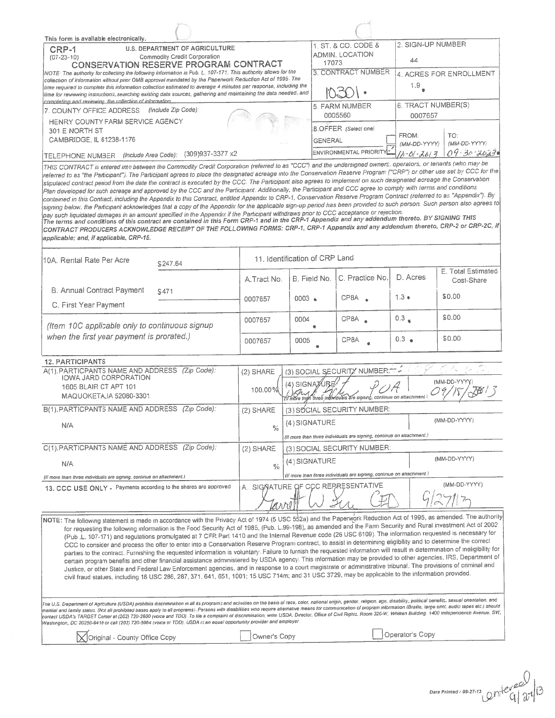| This form is available electronically.                                                                                                                                                                                                                                                                                                                                                                                                                                                                                                                                                                                                                                                                                                                                                                                                                                                                                                                                                                                                                                                                                                                                                                                                                                                                                                        |                                |                 |                |                                                                       | 2. SIGN-UP NUMBER |                                  |  |
|-----------------------------------------------------------------------------------------------------------------------------------------------------------------------------------------------------------------------------------------------------------------------------------------------------------------------------------------------------------------------------------------------------------------------------------------------------------------------------------------------------------------------------------------------------------------------------------------------------------------------------------------------------------------------------------------------------------------------------------------------------------------------------------------------------------------------------------------------------------------------------------------------------------------------------------------------------------------------------------------------------------------------------------------------------------------------------------------------------------------------------------------------------------------------------------------------------------------------------------------------------------------------------------------------------------------------------------------------|--------------------------------|-----------------|----------------|-----------------------------------------------------------------------|-------------------|----------------------------------|--|
| <b>U.S. DEPARTMENT OF AGRICULTURE</b><br>CRP-1<br>Commodity Credit Corporation<br>$(07-23-10)$                                                                                                                                                                                                                                                                                                                                                                                                                                                                                                                                                                                                                                                                                                                                                                                                                                                                                                                                                                                                                                                                                                                                                                                                                                                |                                |                 | 17073          | 1. ST. & CO. CODE &<br>ADMIN, LOCATION                                | 44                |                                  |  |
| <b>CONSERVATION RESERVE PROGRAM CONTRACT</b>                                                                                                                                                                                                                                                                                                                                                                                                                                                                                                                                                                                                                                                                                                                                                                                                                                                                                                                                                                                                                                                                                                                                                                                                                                                                                                  |                                |                 |                | 3. CONTRACT NUMBER                                                    |                   |                                  |  |
| NOTE: The authority for collecting the following information is Pub. L. 107-171. This authority allows for the<br>collection of information without prior OMB approval mandated by the Paperwork Reduction Act of 1995. The<br>time required to complete this information collection estimated to average 4 minutes per response, including the                                                                                                                                                                                                                                                                                                                                                                                                                                                                                                                                                                                                                                                                                                                                                                                                                                                                                                                                                                                               |                                |                 |                |                                                                       | 1.9 <sub>e</sub>  | 4. ACRES FOR ENROLLMENT          |  |
| time for reviewing instructions, searching existing data sources, gathering and maintaining the data needed, and                                                                                                                                                                                                                                                                                                                                                                                                                                                                                                                                                                                                                                                                                                                                                                                                                                                                                                                                                                                                                                                                                                                                                                                                                              |                                |                 |                |                                                                       |                   |                                  |  |
| completing and reviewing the collection of information.                                                                                                                                                                                                                                                                                                                                                                                                                                                                                                                                                                                                                                                                                                                                                                                                                                                                                                                                                                                                                                                                                                                                                                                                                                                                                       |                                |                 |                | 5. FARM NUMBER                                                        |                   | 6. TRACT NUMBER(S)               |  |
| 7. COUNTY OFFICE ADDRESS (Include Zip Code):<br>HENRY COUNTY FARM SERVICE AGENCY                                                                                                                                                                                                                                                                                                                                                                                                                                                                                                                                                                                                                                                                                                                                                                                                                                                                                                                                                                                                                                                                                                                                                                                                                                                              |                                |                 | 0005560        |                                                                       | 0007657           |                                  |  |
| 301 E NORTH ST<br>CAMBRIDGE, IL 61238-1176                                                                                                                                                                                                                                                                                                                                                                                                                                                                                                                                                                                                                                                                                                                                                                                                                                                                                                                                                                                                                                                                                                                                                                                                                                                                                                    |                                |                 |                | 8.OFFER (Select one)                                                  | FROM:             | TO:                              |  |
| (309)937-3377 x2                                                                                                                                                                                                                                                                                                                                                                                                                                                                                                                                                                                                                                                                                                                                                                                                                                                                                                                                                                                                                                                                                                                                                                                                                                                                                                                              |                                |                 | <b>GENERAL</b> | ENVIRONMENTAL PRIORITY                                                | (MM-DD-YYYY)      | (MM-DD-YYYY)<br>$09 - 30 - 3023$ |  |
| (Include Area Code):<br>TELEPHONE NUMBER<br>THIS CONTRACT is entered into between the Commodity Credit Corporation (referred to as "CCC") and the undersigned owners, operators, or tenants (who may be                                                                                                                                                                                                                                                                                                                                                                                                                                                                                                                                                                                                                                                                                                                                                                                                                                                                                                                                                                                                                                                                                                                                       |                                |                 |                |                                                                       | 11-01-2613        |                                  |  |
| referred to as "the Participant"). The Participant agrees to place the designated acreage into the Conservation Reserve Program ("CRP") or other use set by CCC for the<br>stipulated contract period from the date the contract is executed by the CCC. The Participant also agrees to implement on such designated acreage the Conservation<br>Plan developed for such acreage and approved by the CCC and the Participant. Additionally, the Participant and CCC agree to comply with terms and conditions<br>contained in this Contract, including the Appendix to this Contract, entitled Appendix to CRP-1, Conservation Reserve Program Contract (referred to as "Appendix"). By<br>signing below, the Participant acknowledges that a copy of the Appendix for the applicable sign-up period has been provided to such person. Such person also agrees to<br>pay such liquidated damages in an amount specified in the Appendix if the Participant withdraws prior to CCC acceptance or rejection.<br>The terms and conditions of this contract are contained in this Form CRP-1 and in the CRP-1 Appendix and any addendum thereto. BY SIGNING THIS<br>CONTRACT PRODUCERS ACKNOWLEDGE RECEIPT OF THE FOLLOWING FORMS: CRP-1, CRP-1 Appendix and any addendum thereto, CRP-2 or CRP-2C, if<br>applicable; and, if applicable, CRP-15. |                                |                 |                |                                                                       |                   |                                  |  |
|                                                                                                                                                                                                                                                                                                                                                                                                                                                                                                                                                                                                                                                                                                                                                                                                                                                                                                                                                                                                                                                                                                                                                                                                                                                                                                                                               | 11. Identification of CRP Land |                 |                |                                                                       |                   |                                  |  |
| 10A. Rental Rate Per Acre<br>\$247.64                                                                                                                                                                                                                                                                                                                                                                                                                                                                                                                                                                                                                                                                                                                                                                                                                                                                                                                                                                                                                                                                                                                                                                                                                                                                                                         |                                |                 |                |                                                                       |                   |                                  |  |
|                                                                                                                                                                                                                                                                                                                                                                                                                                                                                                                                                                                                                                                                                                                                                                                                                                                                                                                                                                                                                                                                                                                                                                                                                                                                                                                                               | A.Tract No.                    |                 | B. Field No.   | C. Practice No.                                                       | D. Acres          | E. Total Estimated<br>Cost-Share |  |
| <b>B. Annual Contract Payment</b><br>S471                                                                                                                                                                                                                                                                                                                                                                                                                                                                                                                                                                                                                                                                                                                                                                                                                                                                                                                                                                                                                                                                                                                                                                                                                                                                                                     | 0007657                        | $0003 -$        |                | CP8A                                                                  | $1.3 \bullet$     | \$0.00                           |  |
| C. First Year Payment                                                                                                                                                                                                                                                                                                                                                                                                                                                                                                                                                                                                                                                                                                                                                                                                                                                                                                                                                                                                                                                                                                                                                                                                                                                                                                                         |                                |                 |                |                                                                       |                   |                                  |  |
| (Item 10C applicable only to continuous signup                                                                                                                                                                                                                                                                                                                                                                                                                                                                                                                                                                                                                                                                                                                                                                                                                                                                                                                                                                                                                                                                                                                                                                                                                                                                                                | 0007657                        | 0004            |                | CPBA                                                                  | 0.3               | \$0.00                           |  |
| when the first year payment is prorated.)                                                                                                                                                                                                                                                                                                                                                                                                                                                                                                                                                                                                                                                                                                                                                                                                                                                                                                                                                                                                                                                                                                                                                                                                                                                                                                     | 0007657                        | 0005            |                | CP8A                                                                  | $0.3$ $\bullet$   | \$0.00                           |  |
| <b>12. PARTICIPANTS</b>                                                                                                                                                                                                                                                                                                                                                                                                                                                                                                                                                                                                                                                                                                                                                                                                                                                                                                                                                                                                                                                                                                                                                                                                                                                                                                                       |                                |                 |                |                                                                       |                   |                                  |  |
| A(1). PARTICPANTS NAME AND ADDRESS<br>(Zip Code):                                                                                                                                                                                                                                                                                                                                                                                                                                                                                                                                                                                                                                                                                                                                                                                                                                                                                                                                                                                                                                                                                                                                                                                                                                                                                             | $(2)$ SHARE                    |                 |                | (3) SOCIAL SECURITY NUMBER:                                           |                   |                                  |  |
| <b>IOWA JARD CORPORATION</b><br>1605 BLAIR CT APT 101<br>MAQUOKETA, IA 52060-3301                                                                                                                                                                                                                                                                                                                                                                                                                                                                                                                                                                                                                                                                                                                                                                                                                                                                                                                                                                                                                                                                                                                                                                                                                                                             | 100.00%                        | $(4)$ SIGNATURE |                | Til more indn three individuals are signing, continue on attachment.  |                   | (MM-DD-YYYY)                     |  |
| B(1). PARTICPANTS NAME AND ADDRESS (Zip Code):                                                                                                                                                                                                                                                                                                                                                                                                                                                                                                                                                                                                                                                                                                                                                                                                                                                                                                                                                                                                                                                                                                                                                                                                                                                                                                | (2) SHARE                      |                 |                | (3) SOCIAL SECURITY NUMBER:                                           |                   |                                  |  |
|                                                                                                                                                                                                                                                                                                                                                                                                                                                                                                                                                                                                                                                                                                                                                                                                                                                                                                                                                                                                                                                                                                                                                                                                                                                                                                                                               |                                | (4) SIGNATURE   |                |                                                                       |                   | (MM-DD-YYYY)                     |  |
| N/A                                                                                                                                                                                                                                                                                                                                                                                                                                                                                                                                                                                                                                                                                                                                                                                                                                                                                                                                                                                                                                                                                                                                                                                                                                                                                                                                           | $\frac{0}{2}$                  |                 |                | (If more than three individuals are signing, continue on attachment.) |                   |                                  |  |
| C(1). PARTICPANTS NAME AND ADDRESS (Zip Code):                                                                                                                                                                                                                                                                                                                                                                                                                                                                                                                                                                                                                                                                                                                                                                                                                                                                                                                                                                                                                                                                                                                                                                                                                                                                                                | $(2)$ SHARE                    |                 |                | (3) SOCIAL SECURITY NUMBER:                                           |                   |                                  |  |
| N/A                                                                                                                                                                                                                                                                                                                                                                                                                                                                                                                                                                                                                                                                                                                                                                                                                                                                                                                                                                                                                                                                                                                                                                                                                                                                                                                                           | 0/20                           | (4) SIGNATURE   |                |                                                                       |                   | (MM-DD-YYYY)                     |  |
| (If more than three individuals are signing, continue on attachment.)                                                                                                                                                                                                                                                                                                                                                                                                                                                                                                                                                                                                                                                                                                                                                                                                                                                                                                                                                                                                                                                                                                                                                                                                                                                                         |                                |                 |                | (if more than three individuals are signing, continue on attachment   |                   |                                  |  |
| 13. CCC USE ONLY - Payments according to the shares are approved                                                                                                                                                                                                                                                                                                                                                                                                                                                                                                                                                                                                                                                                                                                                                                                                                                                                                                                                                                                                                                                                                                                                                                                                                                                                              |                                |                 |                | A. SIGNATURE OF CCC REPRESENTATIVE                                    |                   | (MM-DD-YYYY)                     |  |
|                                                                                                                                                                                                                                                                                                                                                                                                                                                                                                                                                                                                                                                                                                                                                                                                                                                                                                                                                                                                                                                                                                                                                                                                                                                                                                                                               |                                |                 |                |                                                                       |                   |                                  |  |
| NOTE: The following statement is made in accordance with the Privacy Act of 1974 (5 USC 552a) and the Paperwork Reduction Act of 1995, as amended. The authority<br>for requesting the following information is the Food Security Act of 1985, (Pub. L.99-198), as amended and the Farm Security and Rural investment Act of 2002<br>(Pub .L. 107-171) and regulations promulgated at 7 CFR Part 1410 and the Internal Revenue code (26 USC 6109). The information requested is necessary for<br>CCC to consider and process the offer to enter into a Conservation Reserve Program contract, to assist in determining eligibility and to determine the correct<br>parties to the contract. Furnishing the requested information is voluntary. Failure to furnish the requested information will result in determination of ineligibility for<br>certain program benefits and other financial assistance administered by USDA agency. This information may be provided to other agencies, IRS, Department of<br>Justice, or other State and Federal Law Enforcement agencies, and in response to a court magistrate or administrative tribunal. The provisions of criminal and<br>civil fraud statues, including 18 USC 286, 287, 371, 641, 651, 1001; 15 USC 714m; and 31 USC 3729, may be applicable to the information provided.           |                                |                 |                |                                                                       |                   |                                  |  |
| The U.S. Department of Agriculture (USDA) prohibits discrimination in all its programs and activities on the basis of race, color, national origin, gender, religion, age, disability, political benefits, sexual orientation,<br>mantial and family status. (Not all prohibited bases apply to all programs). Persons with disabilities who require alternative means for communication of program information (Braille, large print, audio tapes etc.) should<br>contact USDA's TARGET Center at (202) 720-2600 (voice and TDD). To file a complaint of discrimination, write USDA, Director, Office of Civil Rights. Room 326-W, Whitten Building, 1400 Independence Avenue, SW,<br>Washington, DC 20250-9410 or call (202) 720-5964 (voice or TDD). USDA is an equal opportunity provider and employer                                                                                                                                                                                                                                                                                                                                                                                                                                                                                                                                    |                                |                 |                |                                                                       |                   |                                  |  |
| <b>X</b> Original - County Office Copy                                                                                                                                                                                                                                                                                                                                                                                                                                                                                                                                                                                                                                                                                                                                                                                                                                                                                                                                                                                                                                                                                                                                                                                                                                                                                                        | Owner's Copy                   |                 |                |                                                                       | Operator's Copy   |                                  |  |

Date Printed: 08-27-13  $\mathbb{C}^n$   $e^{c}$   $q \mid \mathcal{X}$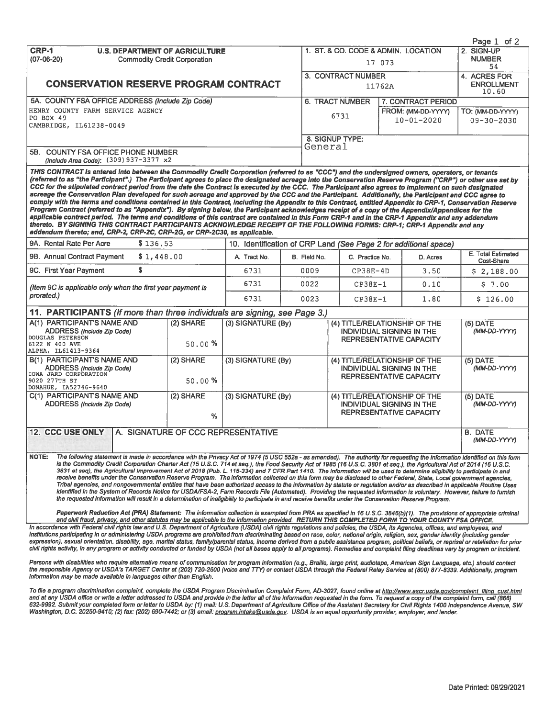|                                                                                                                                                                                                                                                                                                                                                                                                                                                                                                                                                                                                                                                                                                                                                                                                                                                                                                                                                                                                                                                                                                                                                                                                                                                                                                                                                                                                                                                                                                                                                                               |                |                                    |              |                                                             |                                                                                                     | Page $1$ of $2$                  |  |
|-------------------------------------------------------------------------------------------------------------------------------------------------------------------------------------------------------------------------------------------------------------------------------------------------------------------------------------------------------------------------------------------------------------------------------------------------------------------------------------------------------------------------------------------------------------------------------------------------------------------------------------------------------------------------------------------------------------------------------------------------------------------------------------------------------------------------------------------------------------------------------------------------------------------------------------------------------------------------------------------------------------------------------------------------------------------------------------------------------------------------------------------------------------------------------------------------------------------------------------------------------------------------------------------------------------------------------------------------------------------------------------------------------------------------------------------------------------------------------------------------------------------------------------------------------------------------------|----------------|------------------------------------|--------------|-------------------------------------------------------------|-----------------------------------------------------------------------------------------------------|----------------------------------|--|
| <b>CRP-1</b><br><b>U.S. DEPARTMENT OF AGRICULTURE</b>                                                                                                                                                                                                                                                                                                                                                                                                                                                                                                                                                                                                                                                                                                                                                                                                                                                                                                                                                                                                                                                                                                                                                                                                                                                                                                                                                                                                                                                                                                                         |                |                                    |              |                                                             | 1. ST. & CO. CODE & ADMIN. LOCATION                                                                 | 2. SIGN-UP                       |  |
| $(07-06-20)$<br><b>Commodity Credit Corporation</b>                                                                                                                                                                                                                                                                                                                                                                                                                                                                                                                                                                                                                                                                                                                                                                                                                                                                                                                                                                                                                                                                                                                                                                                                                                                                                                                                                                                                                                                                                                                           |                |                                    |              | 17 073                                                      | <b>NUMBER</b>                                                                                       |                                  |  |
|                                                                                                                                                                                                                                                                                                                                                                                                                                                                                                                                                                                                                                                                                                                                                                                                                                                                                                                                                                                                                                                                                                                                                                                                                                                                                                                                                                                                                                                                                                                                                                               |                |                                    |              |                                                             | 54<br>4. ACRES FOR                                                                                  |                                  |  |
| <b>CONSERVATION RESERVE PROGRAM CONTRACT</b>                                                                                                                                                                                                                                                                                                                                                                                                                                                                                                                                                                                                                                                                                                                                                                                                                                                                                                                                                                                                                                                                                                                                                                                                                                                                                                                                                                                                                                                                                                                                  |                |                                    |              | 3. CONTRACT NUMBER                                          |                                                                                                     | <b>ENROLLMENT</b>                |  |
|                                                                                                                                                                                                                                                                                                                                                                                                                                                                                                                                                                                                                                                                                                                                                                                                                                                                                                                                                                                                                                                                                                                                                                                                                                                                                                                                                                                                                                                                                                                                                                               |                |                                    |              |                                                             | 11762A                                                                                              | 10.60                            |  |
| 5A. COUNTY FSA OFFICE ADDRESS (Include Zip Code)                                                                                                                                                                                                                                                                                                                                                                                                                                                                                                                                                                                                                                                                                                                                                                                                                                                                                                                                                                                                                                                                                                                                                                                                                                                                                                                                                                                                                                                                                                                              |                |                                    |              | <b>6. TRACT NUMBER</b>                                      | 7. CONTRACT PERIOD                                                                                  |                                  |  |
| HENRY COUNTY FARM SERVICE AGENCY                                                                                                                                                                                                                                                                                                                                                                                                                                                                                                                                                                                                                                                                                                                                                                                                                                                                                                                                                                                                                                                                                                                                                                                                                                                                                                                                                                                                                                                                                                                                              |                |                                    |              |                                                             | FROM: (MM-DD-YYYY)                                                                                  | TO: (MM-DD-YYYY)                 |  |
| PO BOX 49                                                                                                                                                                                                                                                                                                                                                                                                                                                                                                                                                                                                                                                                                                                                                                                                                                                                                                                                                                                                                                                                                                                                                                                                                                                                                                                                                                                                                                                                                                                                                                     |                |                                    |              | 6731                                                        | $10 - 01 - 2020$                                                                                    | $09 - 30 - 2030$                 |  |
| CAMBRIDGE, IL61238-0049                                                                                                                                                                                                                                                                                                                                                                                                                                                                                                                                                                                                                                                                                                                                                                                                                                                                                                                                                                                                                                                                                                                                                                                                                                                                                                                                                                                                                                                                                                                                                       |                |                                    |              |                                                             |                                                                                                     |                                  |  |
|                                                                                                                                                                                                                                                                                                                                                                                                                                                                                                                                                                                                                                                                                                                                                                                                                                                                                                                                                                                                                                                                                                                                                                                                                                                                                                                                                                                                                                                                                                                                                                               |                |                                    |              | 8. SIGNUP TYPE:                                             |                                                                                                     |                                  |  |
| 5B. COUNTY FSA OFFICE PHONE NUMBER                                                                                                                                                                                                                                                                                                                                                                                                                                                                                                                                                                                                                                                                                                                                                                                                                                                                                                                                                                                                                                                                                                                                                                                                                                                                                                                                                                                                                                                                                                                                            |                |                                    | General      |                                                             |                                                                                                     |                                  |  |
| (Include Area Code): (309) 937-3377 x2                                                                                                                                                                                                                                                                                                                                                                                                                                                                                                                                                                                                                                                                                                                                                                                                                                                                                                                                                                                                                                                                                                                                                                                                                                                                                                                                                                                                                                                                                                                                        |                |                                    |              |                                                             |                                                                                                     |                                  |  |
| THIS CONTRACT is entered into between the Commodity Credit Corporation (referred to as "CCC") and the undersigned owners, operators, or tenants<br>(referred to as "the Participant".) The Participant agrees to place the designated acreage into the Conservation Reserve Program ("CRP") or other use set by<br>CCC for the stipulated contract period from the date the Contract is executed by the CCC. The Participant also agrees to implement on such designated<br>acreage the Conservation Plan developed for such acreage and approved by the CCC and the Participant. Additionally, the Participant and CCC agree to<br>comply with the terms and conditions contained in this Contract, including the Appendix to this Contract, entitied Appendix to CRP-1, Conservation Reserve<br>Program Contract (referred to as "Appendix"). By signing below, the Participant acknowledges receipt of a copy of the Appendix/Appendices for the<br>applicable contract period. The terms and conditions of this contract are contained in this Form CRP-1 and in the CRP-1 Appendix and any addendum<br>thereto. BY SIGNING THIS CONTRACT PARTICIPANTS ACKNOWLEDGE RECEIPT OF THE FOLLOWING FORMS: CRP-1; CRP-1 Appendix and any<br>addendum thereto; and, CRP-2, CRP-2C, CRP-2G, or CRP-2C30, as applicable.                                                                                                                                                                                                                                                             |                |                                    |              |                                                             |                                                                                                     |                                  |  |
| 9A. Rental Rate Per Acre<br>\$136.53                                                                                                                                                                                                                                                                                                                                                                                                                                                                                                                                                                                                                                                                                                                                                                                                                                                                                                                                                                                                                                                                                                                                                                                                                                                                                                                                                                                                                                                                                                                                          |                |                                    |              |                                                             | 10. Identification of CRP Land (See Page 2 for additional space)                                    |                                  |  |
| 9B. Annual Contract Payment<br>\$1,448.00                                                                                                                                                                                                                                                                                                                                                                                                                                                                                                                                                                                                                                                                                                                                                                                                                                                                                                                                                                                                                                                                                                                                                                                                                                                                                                                                                                                                                                                                                                                                     |                | A. Tract No.                       | B. Field No. | C. Practice No.                                             | D. Acres                                                                                            | E. Total Estimated<br>Cost-Share |  |
| \$<br>9C. First Year Payment                                                                                                                                                                                                                                                                                                                                                                                                                                                                                                                                                                                                                                                                                                                                                                                                                                                                                                                                                                                                                                                                                                                                                                                                                                                                                                                                                                                                                                                                                                                                                  |                | 6731                               | 0009         | $CP38E-4D$                                                  | 3.50                                                                                                | \$2,188.00                       |  |
| (Item 9C is applicable only when the first year payment is                                                                                                                                                                                                                                                                                                                                                                                                                                                                                                                                                                                                                                                                                                                                                                                                                                                                                                                                                                                                                                                                                                                                                                                                                                                                                                                                                                                                                                                                                                                    |                | 6731                               | 0022         | $CP38E-1$                                                   | 0.10                                                                                                | \$7.00                           |  |
| prorated.)                                                                                                                                                                                                                                                                                                                                                                                                                                                                                                                                                                                                                                                                                                                                                                                                                                                                                                                                                                                                                                                                                                                                                                                                                                                                                                                                                                                                                                                                                                                                                                    |                | 6731                               | 0023         | $CP38E-1$                                                   | 1.80                                                                                                | \$126.00                         |  |
| 11. PARTICIPANTS (If more than three individuals are signing, see Page 3.)                                                                                                                                                                                                                                                                                                                                                                                                                                                                                                                                                                                                                                                                                                                                                                                                                                                                                                                                                                                                                                                                                                                                                                                                                                                                                                                                                                                                                                                                                                    |                |                                    |              |                                                             |                                                                                                     |                                  |  |
| A(1) PARTICIPANT'S NAME AND                                                                                                                                                                                                                                                                                                                                                                                                                                                                                                                                                                                                                                                                                                                                                                                                                                                                                                                                                                                                                                                                                                                                                                                                                                                                                                                                                                                                                                                                                                                                                   | (2) SHARE      | $(3)$ SIGNATURE $(By)$             |              |                                                             | (4) TITLE/RELATIONSHIP OF THE                                                                       | $(5)$ DATE                       |  |
| ADDRESS (Include Zip Code)<br>DOUGLAS PETERSON<br>6122 N 400 AVE<br>ALPHA, IL61413-9364                                                                                                                                                                                                                                                                                                                                                                                                                                                                                                                                                                                                                                                                                                                                                                                                                                                                                                                                                                                                                                                                                                                                                                                                                                                                                                                                                                                                                                                                                       | 50.00%         |                                    |              | <b>INDIVIDUAL SIGNING IN THE</b><br>REPRESENTATIVE CAPACITY |                                                                                                     | (MM-DD-YYYY)                     |  |
| B(1) PARTICIPANT'S NAME AND                                                                                                                                                                                                                                                                                                                                                                                                                                                                                                                                                                                                                                                                                                                                                                                                                                                                                                                                                                                                                                                                                                                                                                                                                                                                                                                                                                                                                                                                                                                                                   | (2) SHARE      | (3) SIGNATURE (By)                 |              |                                                             | (4) TITLE/RELATIONSHIP OF THE                                                                       | $(5)$ DATE                       |  |
| ADDRESS (Include Zip Code)<br>IOWA JARD CORPORATION                                                                                                                                                                                                                                                                                                                                                                                                                                                                                                                                                                                                                                                                                                                                                                                                                                                                                                                                                                                                                                                                                                                                                                                                                                                                                                                                                                                                                                                                                                                           |                |                                    |              |                                                             | <b>INDIVIDUAL SIGNING IN THE</b>                                                                    | (MM-DD-YYYY)                     |  |
| 9020 277TH ST<br>DONAHUE, IA52746-9640                                                                                                                                                                                                                                                                                                                                                                                                                                                                                                                                                                                                                                                                                                                                                                                                                                                                                                                                                                                                                                                                                                                                                                                                                                                                                                                                                                                                                                                                                                                                        | 50.00%         |                                    |              |                                                             | REPRESENTATIVE CAPACITY                                                                             |                                  |  |
| C(1) PARTICIPANTS NAME AND<br>ADDRESS (Include Zip Code)                                                                                                                                                                                                                                                                                                                                                                                                                                                                                                                                                                                                                                                                                                                                                                                                                                                                                                                                                                                                                                                                                                                                                                                                                                                                                                                                                                                                                                                                                                                      | (2) SHARE<br>% | (3) SIGNATURE (By)                 |              |                                                             | (4) TITLE/RELATIONSHIP OF THE<br><b>INDIVIDUAL SIGNING IN THE</b><br><b>REPRESENTATIVE CAPACITY</b> | $(5)$ DATE<br>(MM-DD-YYYY)       |  |
|                                                                                                                                                                                                                                                                                                                                                                                                                                                                                                                                                                                                                                                                                                                                                                                                                                                                                                                                                                                                                                                                                                                                                                                                                                                                                                                                                                                                                                                                                                                                                                               |                |                                    |              |                                                             |                                                                                                     |                                  |  |
| <b>12. CCC USE ONLY</b>                                                                                                                                                                                                                                                                                                                                                                                                                                                                                                                                                                                                                                                                                                                                                                                                                                                                                                                                                                                                                                                                                                                                                                                                                                                                                                                                                                                                                                                                                                                                                       |                | A. SIGNATURE OF CCC REPRESENTATIVE |              |                                                             |                                                                                                     | <b>B. DATE</b><br>(MM-DD-YYYY)   |  |
| <b>NOTE:</b><br>The following statement is made in accordance with the Privacy Act of 1974 (5 USC 552a - as amended). The authority for requesting the information identified on this form<br>is the Commodity Credit Corporation Charter Act (15 U.S.C. 714 et seq.), the Food Security Act of 1985 (16 U.S.C. 3801 et seq.), the Agricultural Act of 2014 (16 U.S.C.<br>3831 et seq), the Agricultural Improvement Act of 2018 (Pub. L. 115-334) and 7 CFR Part 1410. The information will be used to determine eligibility to participate in and<br>receive benefits under the Conservation Reserve Program. The information collected on this form may be disclosed to other Federal, State, Local government agencies,<br>Tribal agencies, and nongovernmental entities that have been authorized access to the information by statute or regulation and/or as described in applicable Routine Uses<br>identified in the System of Records Notice for USDA/FSA-2, Farm Records File (Automated). Providing the requested information is voluntary. However, failure to furnish<br>the requested information will result in a determination of ineligibility to participate in and receive benefits under the Conservation Reserve Program.<br>Paperwork Reduction Act (PRA) Statement: The information collection is exempted from PRA as specified in 16 U.S.C. 3846(b)(1). The provisions of appropriate criminal<br>and civil fraud, privacy, and other statutes may be applicable to the information provided. RETURN THIS COMPLETED FORM TO YOUR COUNTY FSA OFFICE. |                |                                    |              |                                                             |                                                                                                     |                                  |  |
|                                                                                                                                                                                                                                                                                                                                                                                                                                                                                                                                                                                                                                                                                                                                                                                                                                                                                                                                                                                                                                                                                                                                                                                                                                                                                                                                                                                                                                                                                                                                                                               |                |                                    |              |                                                             |                                                                                                     |                                  |  |

In accordance with Federal civil rights law and U.S. Department of Agriculture (USDA) civil rights regulations and policies, the USDA, its Agencies, offices, and employees, and employees, and institutions participating in

Persons with disabilities who require alternative means of communication for program information (e.g., Braille, large print, audiotape, American Sign Language, etc.) should contact<br>the responsible Agency or USDA's TARGET information may be made available in languages other than English.

To file a program discrimination complaint, complete the USDA Program Discrimination Complaint Form, AD-3027, found online at http://www.ascr.usda.gov/complaint\_filing\_cust.html and at any USDA office or write a letter addressed to USDA and provide in the letter all of the information requested in the form. To request a copy of the complaint form, call (866) 632-9992. Submit your completed form or letter to USDA by: (1) mail: U.S. Department of Agriculture Office of the Assistant Secretary for Civil Rights 1400 Independence Avenue, SW Washington, D.C. 20250-9410; (2) fax: (202) 690-7442; or (3) email: program.intake@usda.gov. USDA is an equal opportunity provider, employer, and lender.